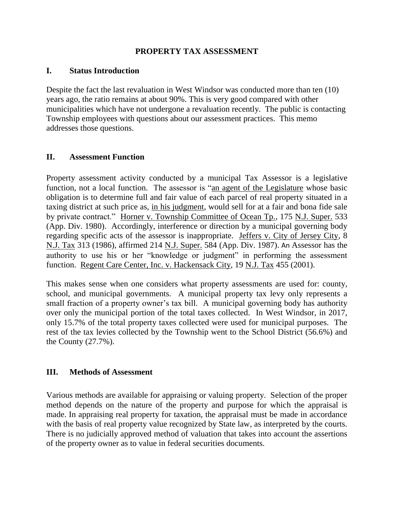## **PROPERTY TAX ASSESSMENT**

#### **I. Status Introduction**

Despite the fact the last revaluation in West Windsor was conducted more than ten (10) years ago, the ratio remains at about 90%. This is very good compared with other municipalities which have not undergone a revaluation recently. The public is contacting Township employees with questions about our assessment practices. This memo addresses those questions.

#### **II. Assessment Function**

Property assessment activity conducted by a municipal Tax Assessor is a legislative function, not a local function. The assessor is "an agent of the Legislature whose basic obligation is to determine full and fair value of each parcel of real property situated in a taxing district at such price as, in his judgment, would sell for at a fair and bona fide sale by private contract." Horner v. Township Committee of Ocean Tp., 175 N.J. Super. 533 (App. Div. 1980). Accordingly, interference or direction by a municipal governing body regarding specific acts of the assessor is inappropriate. Jeffers v. City of Jersey City, 8 N.J. Tax 313 (1986), affirmed 214 N.J. Super. 584 (App. Div. 1987). An Assessor has the authority to use his or her "knowledge or judgment" in performing the assessment function. Regent Care Center, Inc. v. Hackensack City, 19 N.J. Tax 455 (2001).

This makes sense when one considers what property assessments are used for: county, school, and municipal governments. A municipal property tax levy only represents a small fraction of a property owner's tax bill. A municipal governing body has authority over only the municipal portion of the total taxes collected. In West Windsor, in 2017, only 15.7% of the total property taxes collected were used for municipal purposes. The rest of the tax levies collected by the Township went to the School District (56.6%) and the County (27.7%).

## **III. Methods of Assessment**

Various methods are available for appraising or valuing property. Selection of the proper method depends on the nature of the property and purpose for which the appraisal is made. In appraising real property for taxation, the appraisal must be made in accordance with the basis of real property value recognized by State law, as interpreted by the courts. There is no judicially approved method of valuation that takes into account the assertions of the property owner as to value in federal securities documents.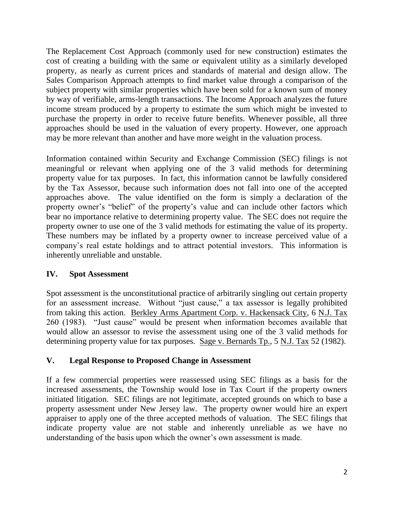The Replacement Cost Approach (commonly used for new construction) estimates the cost of creating a building with the same or equivalent utility as a similarly developed property, as nearly as current prices and standards of material and design allow. The Sales Comparison Approach attempts to find market value through a comparison of the subject property with similar properties which have been sold for a known sum of money by way of verifiable, arms-length transactions. The Income Approach analyzes the future income stream produced by a property to estimate the sum which might be invested to purchase the property in order to receive future benefits. Whenever possible, all three approaches should be used in the valuation of every property. However, one approach may be more relevant than another and have more weight in the valuation process.

Information contained within Security and Exchange Commission (SEC) filings is not meaningful or relevant when applying one of the 3 valid methods for determining property value for tax purposes. In fact, this information cannot be lawfully considered by the Tax Assessor, because such information does not fall into one of the accepted approaches above. The value identified on the form is simply a declaration of the property owner's "belief" of the property's value and can include other factors which bear no importance relative to determining property value. The SEC does not require the property owner to use one of the 3 valid methods for estimating the value of its property. These numbers may be inflated by a property owner to increase perceived value of a company's real estate holdings and to attract potential investors. This information is inherently unreliable and unstable.

# **IV. Spot Assessment**

Spot assessment is the unconstitutional practice of arbitrarily singling out certain property for an assessment increase. Without "just cause," a tax assessor is legally prohibited from taking this action. Berkley Arms Apartment Corp. v. Hackensack City, 6 N.J. Tax 260 (1983). "Just cause" would be present when information becomes available that would allow an assessor to revise the assessment using one of the 3 valid methods for determining property value for tax purposes. Sage v. Bernards Tp., 5 N.J. Tax 52 (1982).

# **V. Legal Response to Proposed Change in Assessment**

If a few commercial properties were reassessed using SEC filings as a basis for the increased assessments, the Township would lose in Tax Court if the property owners initiated litigation. SEC filings are not legitimate, accepted grounds on which to base a property assessment under New Jersey law. The property owner would hire an expert appraiser to apply one of the three accepted methods of valuation. The SEC filings that indicate property value are not stable and inherently unreliable as we have no understanding of the basis upon which the owner's own assessment is made.